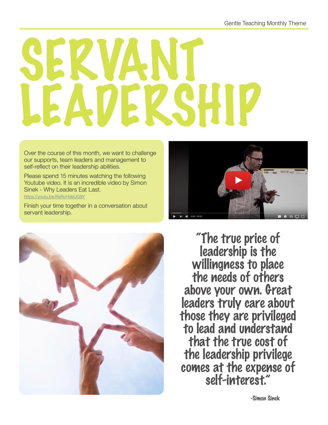## SERVANT. LEADERSHIP

Over the course of this month, we want to challenge our supports, team leaders and management to self-reflect on their leadership abilities.

Please spend 15 minutes watching the following Youtube video. It is an incredible video by Simon Sinek - Why Leaders Eat Last.

<https://youtu.be/ReRcHdeUG9Y>

Finish your time together in a conversation about servant leadership.





"The true price of leadership is the willingness to place the needs of others above your own. Great leaders truly care about those they are privileged to lead and understand that the true cost of the leadership privilege comes at the expense of self-interest."

-Simon Sinek